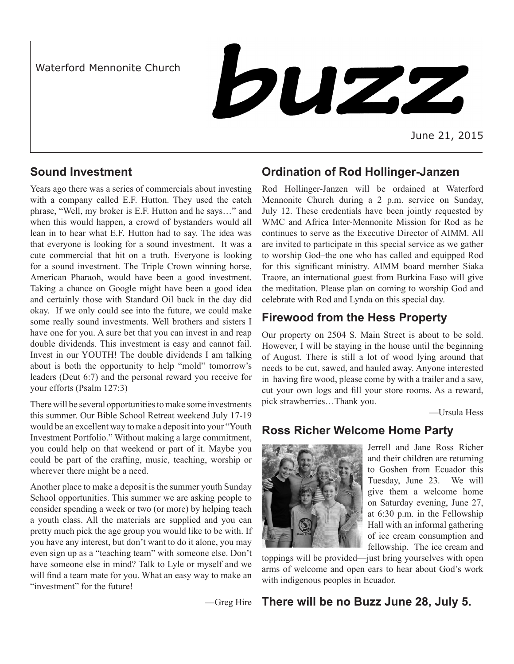Waterford Mennonite Church



## **Sound Investment**

Years ago there was a series of commercials about investing with a company called E.F. Hutton. They used the catch phrase, "Well, my broker is E.F. Hutton and he says…" and when this would happen, a crowd of bystanders would all lean in to hear what E.F. Hutton had to say. The idea was that everyone is looking for a sound investment. It was a cute commercial that hit on a truth. Everyone is looking for a sound investment. The Triple Crown winning horse, American Pharaoh, would have been a good investment. Taking a chance on Google might have been a good idea and certainly those with Standard Oil back in the day did okay. If we only could see into the future, we could make some really sound investments. Well brothers and sisters I have one for you. A sure bet that you can invest in and reap double dividends. This investment is easy and cannot fail. Invest in our YOUTH! The double dividends I am talking about is both the opportunity to help "mold" tomorrow's leaders (Deut 6:7) and the personal reward you receive for your efforts (Psalm 127:3)

There will be several opportunities to make some investments this summer. Our Bible School Retreat weekend July 17-19 would be an excellent way to make a deposit into your "Youth Investment Portfolio." Without making a large commitment, you could help on that weekend or part of it. Maybe you could be part of the crafting, music, teaching, worship or wherever there might be a need.

Another place to make a deposit is the summer youth Sunday School opportunities. This summer we are asking people to consider spending a week or two (or more) by helping teach a youth class. All the materials are supplied and you can pretty much pick the age group you would like to be with. If you have any interest, but don't want to do it alone, you may even sign up as a "teaching team" with someone else. Don't have someone else in mind? Talk to Lyle or myself and we will find a team mate for you. What an easy way to make an "investment" for the future!

# **Ordination of Rod Hollinger-Janzen**

Rod Hollinger-Janzen will be ordained at Waterford Mennonite Church during a 2 p.m. service on Sunday, July 12. These credentials have been jointly requested by WMC and Africa Inter-Mennonite Mission for Rod as he continues to serve as the Executive Director of AIMM. All are invited to participate in this special service as we gather to worship God–the one who has called and equipped Rod for this significant ministry. AIMM board member Siaka Traore, an international guest from Burkina Faso will give the meditation. Please plan on coming to worship God and celebrate with Rod and Lynda on this special day.

# **Firewood from the Hess Property**

Our property on 2504 S. Main Street is about to be sold. However, I will be staying in the house until the beginning of August. There is still a lot of wood lying around that needs to be cut, sawed, and hauled away. Anyone interested in having fire wood, please come by with a trailer and a saw, cut your own logs and fill your store rooms. As a reward, pick strawberries…Thank you.

—Ursula Hess

## **Ross Richer Welcome Home Party**



Jerrell and Jane Ross Richer and their children are returning to Goshen from Ecuador this Tuesday, June 23. We will give them a welcome home on Saturday evening, June 27, at 6:30 p.m. in the Fellowship Hall with an informal gathering of ice cream consumption and fellowship. The ice cream and

toppings will be provided—just bring yourselves with open arms of welcome and open ears to hear about God's work with indigenous peoples in Ecuador.

—Greg Hire

## **There will be no Buzz June 28, July 5.**